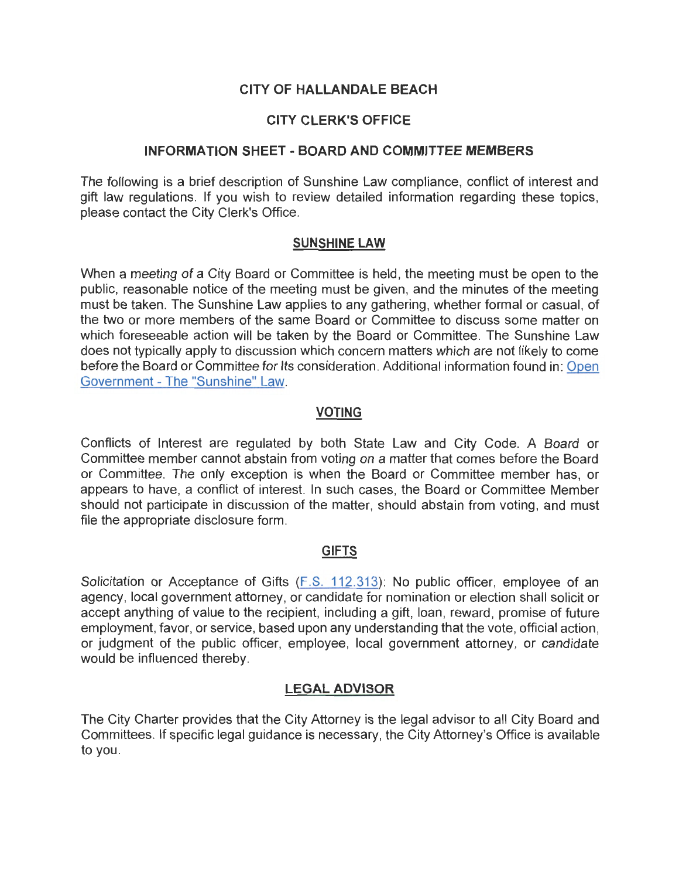# **CITY OF HALLANDALE BEACH**

# **CITY CLERK'S OFFICE**

# **INFORMATION SHEET - BOARD AND COMMITTEE MEMBERS**

The following is a brief description of Sunshine Law compliance, conflict of interest and gift law regulations. If you wish to review detailed information regarding these topics, please contact the City Clerk's Office.

# **SUNSHINE LAW**

When a meeting of a City Board or Committee is held, the meeting must be open to the public, reasonable notice of the meeting must be given, and the minutes of the meeting must be taken. The Sunshine Law applies to any gathering, whether formal or casual, of the two or more members of the same Board or Committee to discuss some matter on which foreseeable action will be taken by the Board or Committee. The Sunshine Law does not typically apply to discussion which concern matters which are not likely to come before the Board or Committee for Its consideration. Additional information found in: Open Government - The "Sunshine" Law.

# **VOTING**

Conflicts of Interest are regulated by both State Law and City Code. A Board or Committee member cannot abstain from voting on a matter that comes before the Board or Committee. The only exception is when the Board or Committee member has, or appears to have, a conflict of interest. In such cases, the Board or Committee Member should not participate in discussion of the matter, should abstain from voting, and must file the appropriate disclosure form.

# **GIFTS**

Solicitation or Acceptance of Gifts (F.S. 112.313): No public officer, employee of an agency, local government attorney, or candidate for nomination or election shall solicit or accept anything of value to the recipient, including a gift, loan, reward, promise of future employment, favor, or service, based upon any understanding that the vote, official action, or judgment of the public officer, employee, local government attorney, or candidate would be influenced thereby.

# **LEGAL ADVISOR**

The City Charter provides that the City Attorney is the legal advisor to all City Board and Committees. If specific legal guidance is necessary, the City Attorney's Office is available to you.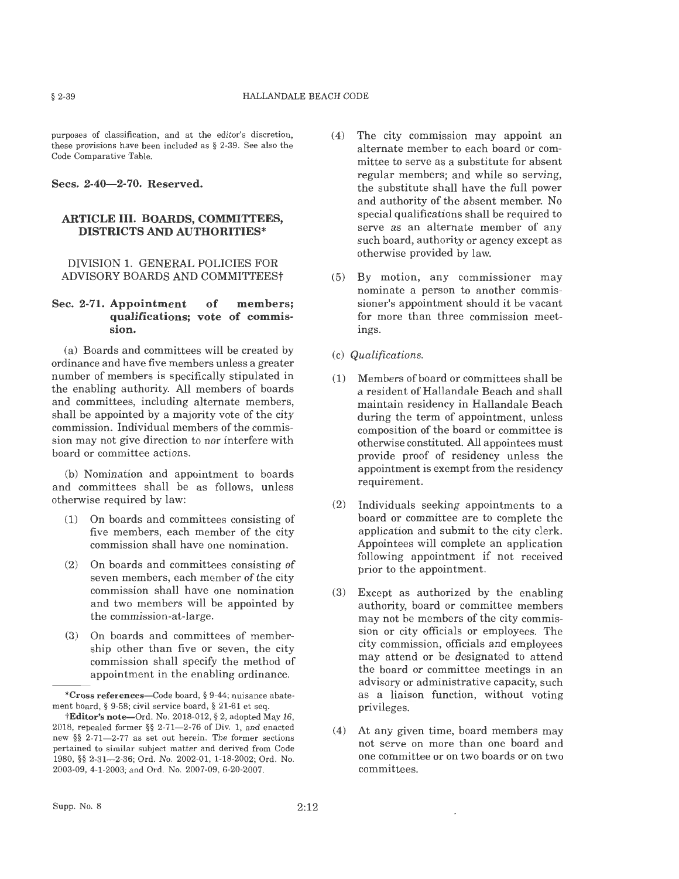purposes of classification, and at the editor's discretion, these provisions have been included as § 2-39. See also the Code Comparative Table.

#### **Secs. 2-40-2-70. Reserved.**

#### **ARTICLE** III. **BOARDS, COMMITTEES, DISTRICTS AND AUTHORITIES\***

#### DIVISION 1. GENERAL POLICIES FOR ADVISORY BOARDS AND COMMITTEESt

#### **Sec. 2-71. Appointment of members; qualifications; vote of commission.**

(a) Boards and committees will be created by ordinance and have five members unless a greater number of members is specifically stipulated in the enabling authority. All members of boards and committees, including alternate members, shall be appointed by a majority vote of the city commission. Individual members of the commission may not give direction to nor interfere with board or committee actions.

(b) Nomination and appointment to boards and committees shall be as follows, unless otherwise required by law:

- (1) On boards and committees consisting of five members, each member of the city commission shall have one nomination.
- (2) On boards and committees consisting of seven members, each member of the city commission shall have one nomination and two members will be appointed by the commission-at-large.
- (3) On boards and committees of membership other than five or seven, the city commission shall specify the method of appointment in the enabling ordinance.
- (4) The city commission may appoint an alternate member to each board or committee to serve as a substitute for absent regular members; and while so serving, the substitute shall have the full power and authority of the absent member. No special qualifications shall be required to serve as an alternate member of any such board, authority or agency except as otherwise provided by law.
- (5) By motion, any commissioner may nominate a person to another commissioner's appointment should it be vacant for more than three commission meetings.
- (c) *Qualifications.*
- (1) Members of board or committees shall be a resident of Hallandale Beach and shall maintain residency in Hallandale Beach during the term of appointment, unless composition of the board or committee is otherwise constituted. All appointees must provide proof of residency unless the appointment is exempt from the residency requirement.
- (2) Individuals seeking appointments to a board or committee are to complete the application and submit to the city clerk. Appointees will complete an application following appointment if not received prior to the appointment.
- (3) Except as authorized by the enabling authority, board or committee members may not be members of the city commission or city officials or employees. The city commission, officials and employees may attend or be designated to attend the board or committee meetings in an advisory or administrative capacity, such as a liaison function, without voting privileges.
- (4) At any given time, board members may not serve on more than one board and one committee or on two boards or on two committees.

**<sup>\*</sup>Cross references-Code** board, § 9-44; nuisance abatement board, § 9-58; civil service board, § 21-61 et seq.

**tEditor's** note-Ord. No. 2018-012, § 2, adopted May 16, 2018, repealed former §§ 2-71-2-76 of Div. 1, and enacted new §§ 2-71--2-77 as set out herein. The former sections pertained to similar subject matter and derived from Code 1980, §§ 2-31- 2-36; Ord. No. 2002-01 , 1-18-2002; Ord. No. 2003-09, 4-1-2003; and Ord. No. 2007-09, 6-20-2007.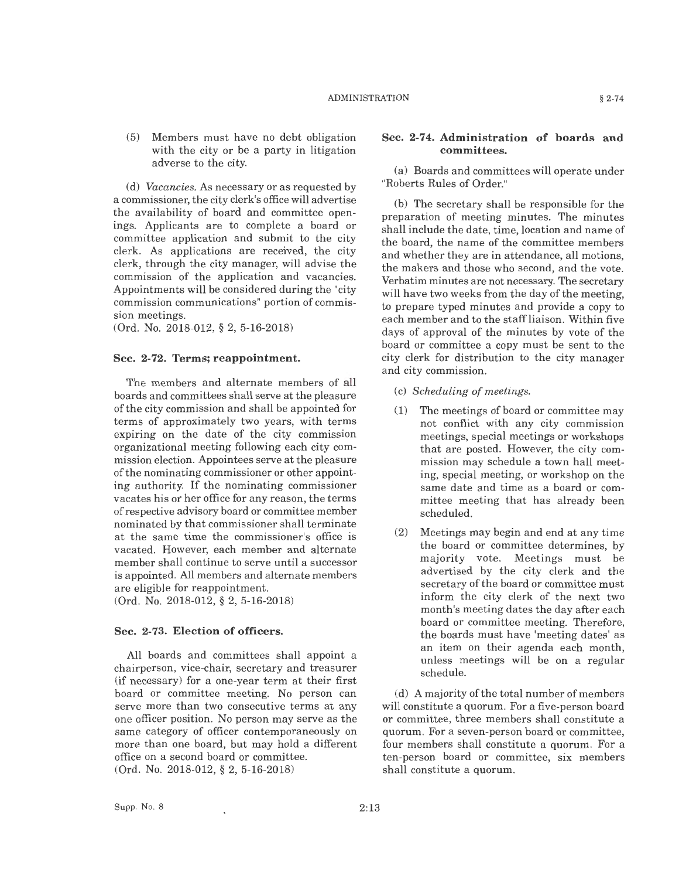(5) Members must have no debt obligation with the city or be a party in litigation adverse to the city.

(d) *Vacancies.* As necessary or as requested by a commissioner, the city clerk's office will advertise the availability of board and committee openings. Applicants are to complete a board or committee application and submit to the city clerk. As applications are received, the city clerk, through the city manager, will advise the commission of the application and vacancies. Appointments will be considered during the "city commission communications" portion of commission meetings.

(Ord. No. 2018-012, § 2, 5-16-2018)

#### **Sec. 2-72. Terms; reappointment.**

The members and alternate members of all boards and committees shall serve at the pleasure of the city commission and shall be appointed for terms of approximately two years, with terms expiring on the date of the city commission organizational meeting following each city commission election. Appointees serve at the pleasure of the nominating commissioner or other appointing authority. If the nominating commissioner vacates his or her office for any reason, the terms ofrespective advisory board or committee member nominated by that commissioner shall terminate at the same time the commissioner's office is vacated. However, each member and alternate member shall continue to serve until a successor is appointed. All members and alternate members are eligible for reappointment.

(Ord. No. 2018-012, § 2, 5-16-2018)

#### **Sec. 2-73. Election of officers.**

All boards and committees shall appoint a chairperson, vice-chair, secretary and treasurer (if necessary) for a one-year term at their first board or committee meeting. No person can serve more than two consecutive terms at any one officer position. No person may serve as the same category of officer contemporaneously on more than one board, but may hold a different office on a second board or committee. (Ord. No. 2018-012, § 2, 5-16-2018)

#### **Sec. 2-74. Administration of boards and committees.**

(a) Boards and committees will operate under "Roberts Rules of Order."

(b) The secretary shall be responsible for the preparation of meeting minutes. The minutes shall include the date, time, location and name of the board, the name of the committee members and whether they are **in** attendance, all motions, the makers and those who second, and the vote. Verbatim minutes are not necessary. The secretary will have two weeks from the day of the meeting, to prepare typed minutes and provide a copy to each member and to the staff liaison. Within five days of approval of the minutes by vote of the board or committee a copy must be sent to the city clerk for distribution to the city manager and city commission.

- (c) *Scheduling of meetings.*
- (1) The meetings of board or committee may not conflict with any city commission meetings, special meetings or workshops that are posted. However, the city commission may schedule a town hall meeting, special meeting, or workshop on the same date and time as a board or committee meeting that has already been scheduled.
- (2) Meetings may begin and end at any time the board or committee determines, by majority vote. Meetings must be advertised by the city clerk and the secretary of the board or committee must inform the city clerk of the next two month's meeting dates the day after each board or committee meeting. Therefore, the boards must have 'meeting dates' as an item on their agenda each month, unless meetings will be on a regular schedule.

(d) A majority of the total number of members will constitute a quorum. For a five-person board or committee, three members shall constitute a quorum. For a seven-person board or committee, four members shall constitute a quorum. For a ten-person board or committee, six members shall constitute a quorum.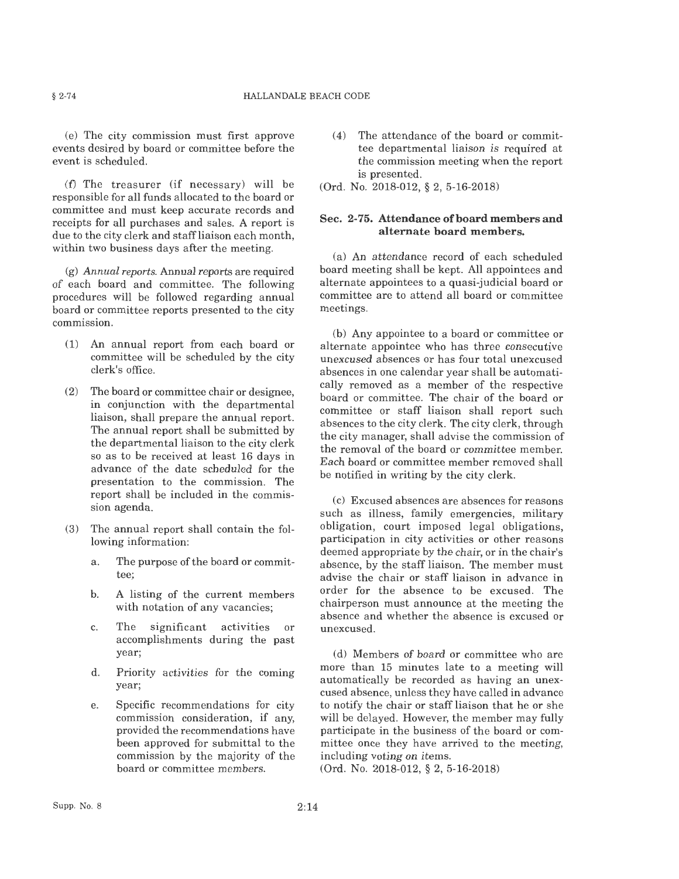(e) The city commission must first approve events desired by board or committee before the event is scheduled.

(f) The treasurer (if necessary) will be responsible for all funds allocated to the board or committee and must keep accurate records and receipts for all purchases and sales. A report is due to the city clerk and staff liaison each month, within two business days after the meeting.

(g) *Annual reports.* Annual reports are required of each board and committee. The following procedures will be followed regarding annual board or committee reports presented to the city commission.

- (1) An annual report from each board or committee will be scheduled by the city clerk's office.
- (2) The board or committee chair or designee, in conjunction with the departmental liaison, shall prepare the annual report. The annual report shall be submitted by the departmental liaison to the city clerk so as to be received at least 16 days in advance of the date scheduled for the presentation to the commission. The report shall be included in the commission agenda.
- (3) The annual report shall contain the following information:
	- a. The purpose of the board or committee;
	- b. A listing of the current members with notation of any vacancies;
	- c. The significant activities or accomplishments during the past year;
	- d. Priority activities for the coming year;
	- e. Specific recommendations for city commission consideration, if any, provided the recommendations have been approved for submittal to the commission by the majority of the board or committee members.

(4) The attendance of the board or committee departmental liaison is required at the commission meeting when the report is presented.

(Ord. No. 2018-012, § 2, 5-16-2018)

#### Sec. 2-75. Attendance of board members and **alternate board members.**

(a) An attendance record of each scheduled board meeting shall be kept. All appointees and alternate appointees to a quasi-judicial board or committee are to attend all board or committee meetings.

(b) Any appointee to a board or committee or alternate appointee who has three consecutive unexcused absences or has four total unexcused absences in one calendar year shall be automatically removed as a member of the respective board or committee. The chair of the board or committee or staff liaison shall report such absences to the city clerk. The city clerk, through the city manager, shall advise the commission of the removal of the board or committee member. Each board or committee member removed shall be notified in writing by the city clerk.

(c) Excused absences are absences for reasons such as illness, family emergencies, military obligation, court imposed legal obligations, participation in city activities or other reasons deemed appropriate by the chair, or in the chair's absence, by the staff liaison. The member must advise the chair or staff liaison in advance in order for the absence to be excused. The chairperson must announce at the meeting the absence and whether the absence is excused or unexcused.

(d) Members of board or committee who are more than 15 minutes late to a meeting will automatically be recorded as having an unexcused absence, unless they have called in advance to notify the chair or staff liaison that he or she will be delayed. However, the member may fully participate in the business of the board or committee once they have arrived to the meeting, including voting on items.

(Ord. No. 2018-012, § 2, 5-16-2018)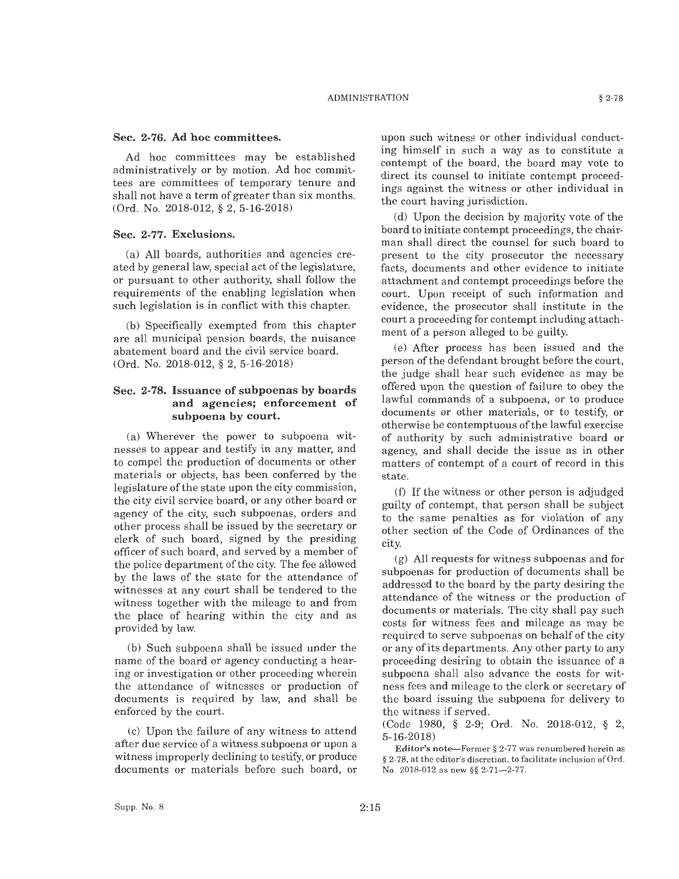#### **Sec. 2-76. Ad hoc committees.**

Ad hoc committees may be established administratively or by motion. Ad hoc committees are committees of temporary tenure and shall not have a term of greater than six months. (Ord. No. 2018-012, § 2, 5-16-2018)

#### **Sec. 2-77. Exclusions.**

(a) All boards, authorities and agencies created by general law, special act of the legislature, or pursuant to other authority, shall follow the requirements of the enabling legislation when such legislation is in conflict with this chapter.

(b) Specifically exempted from this chapter are all municipal pension boards, the nuisance abatement board and the civil service board. (Ord. No. 2018-012, § 2, 5-16-2018)

#### **Sec. 2-78. Issuance of subpoenas by boards and agencies; enforcement of subpoena by court.**

(a) Wherever the power to subpoena witnesses to appear and testify in any matter, and to compel the production of documents or other materials or objects, has been conferred by the legislature of the state upon the city commission, the city civil service board, or any other board or agency of the city, such subpoenas, orders and other process shall be issued by the secretary or clerk of such board, signed by the presiding officer of such board, and served by a member of the police department of the city. The fee allowed by the laws of the state for the attendance of witnesses at any court shall be tendered to the witness together with the mileage to and from the place of hearing within the city and as provided by law.

(b) Such subpoena shall be issued under the name of the board or agency conducting a hearing or investigation or other proceeding wherein the attendance of witnesses or production of documents is required by law, and shall be enforced by the court.

(c) Upon the failure of any witness to attend after due service of a witness subpoena or upon a witness improperly declining to testify, or produce documents or materials before such board, or upon such witness or other individual conducting himself in such a way as to constitute a contempt of the board, the board may vote to direct its counsel to initiate contempt proceedings against the witness or other individual in the court having jurisdiction.

(d) Upon the decision by majority vote of the board to initiate contempt proceedings, the chairman shall direct the counsel for such board to present to the city prosecutor the necessary facts, documents and other evidence to initiate attachment and contempt proceedings before the court. Upon receipt of such information and evidence, the prosecutor shall institute in the court a proceeding for contempt including attachment of a person alleged to be guilty.

(e) After process has been issued and the person of the defendant brought before the court, the judge shall hear such evidence as may be offered upon the question of failure to obey the lawful commands of a subpoena, or to produce documents or other materials, or to testify, or otherwise be contemptuous of the lawful exercise of authority by such administrative board or agency, and shall decide the issue as in other matters of contempt of a court of record in this state.

(f) If the witness or other person is adjudged guilty of contempt, that person shall be subject to the same penalties as for violation of any other section of the Code of Ordinances of the city.

(g) All requests for witness subpoenas and for subpoenas for production of documents shall be addressed to the board by the party desiring the attendance of the witness or the production of documents or materials. The city shall pay such costs for witness fees and mileage as may be required to serve subpoenas on behalf of the city or any of its departments. Any other party to any proceeding desiring to obtain the issuance of a subpoena shall also advance the costs for witness fees and mileage to the clerk or secretary of the board issuing the subpoena for delivery to the witness if served.

(Code 1980, § 2-9; Ord. No. 2018-012, § 2, 5-16-2018)

**Editor's** note-Former§ 2-77 was renumbered herein as § 2-78, at the editor's discretion, to facilitate inclusion of Ord. No. 2018-012 as new §§ 2-71---2-77.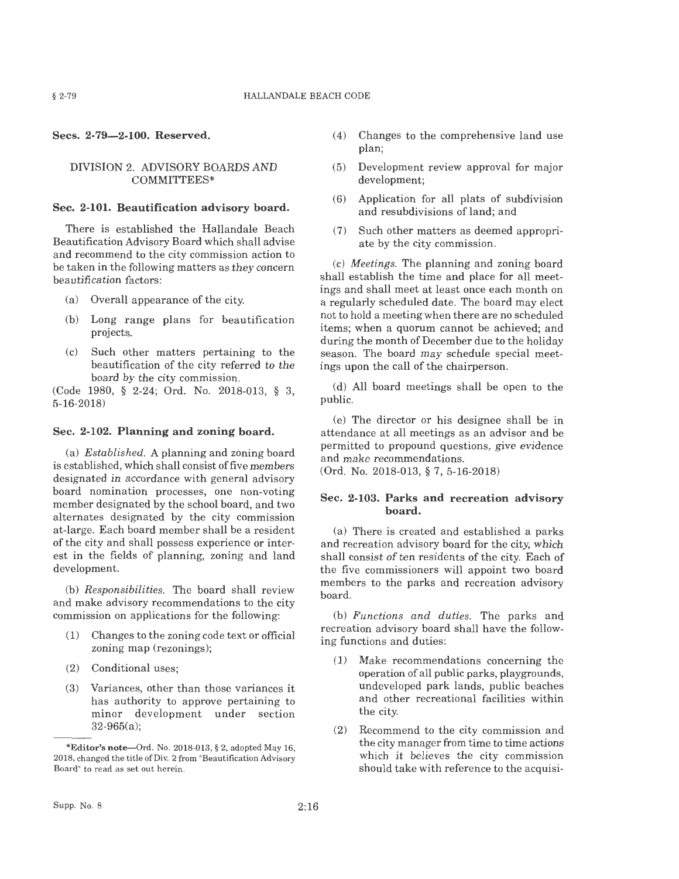**Secs. 2-79-2-100. Reserved.** 

#### DIVISION 2. ADVISORY BOARDS AND COMMITTEES\*

#### **Sec. 2-101. Beautification advisory board.**

There is established the Hallandale Beach Beautification Advisory Board which shall advise and recommend to the city commission action to be taken in the following matters as they concern beautification factors:

- (a) Overall appearance of the city.
- (b) Long range plans for beautification projects.
- (c) Such other matters pertaining to the beautification of the city referred to the board by the city commission.

(Code 1980, § 2-24; Ord. No. 2018-013, § 3, 5-16-2018)

#### **Sec. 2-102. Planning and zoning board.**

(a) *Established.* A planning and zoning board is established, which shall consist of five members designated in accordance with general advisory board nomination processes, one non-voting member designated by the school board, and two alternates designated by the city commission at-large. Each board member shall be a resident of the city and shall possess experience or interest in the fields of planning, zoning and land development.

(b) *Responsibilities.* The board shall review and make advisory recommendations to the city commission on applications for the following:

- (1) Changes to the zoning code text or official zoning map (rezonings);
- (2) Conditional uses;
- (3) Variances, other than those variances it has authority to approve pertaining to minor development under section 32-965(a);
- $(4)$  Changes to the comprehensive land use plan;
- (5) Development review approval for major development;
- (6) Application for all plats of subdivision and resubdivisions of land; and
- (7) Such other matters as deemed appropriate by the city commission.

(c) *Meetings.* The planning and zoning board shall establish the time and place for all meetings and shall meet at least once each month on a regularly scheduled date. The board may elect not to hold a meeting when there are no scheduled items; when a quorum cannot be achieved; and during the month of December due to the holiday season. The board may schedule special meetings upon the call of the chairperson.

(d) All board meetings shall be open to the public.

(e) The director or his designee shall be in attendance at all meetings as an advisor and be permitted to propound questions, give evidence and make recommendations.

(Ord. No. 2018-013, § 7, 5-16-2018)

#### **Sec. 2-103. Parks and recreation advisory board.**

(a) There is created and established a parks and recreation advisory board for the city, which shall consist of ten residents of the city. Each of the five commissioners will appoint two board members to the parks and recreation advisory board.

(b) *Functions and duties.* The parks and recreation advisory board shall have the following functions and duties:

- (1) Make recommendations concerning the operation of all public parks, playgrounds, undeveloped park lands, public beaches and other recreational facilities within the city.
- (2) Recommend to the city commission and the city manager from time to time actions which it believes the city commission should take with reference to the acquisi-

**<sup>\*</sup>Editor's** note-Ord. No. 2018-013, § 2, adopted May 16, 2018, changed the title of Div. 2 from "Beautification Advisory Board" to read as set out herein.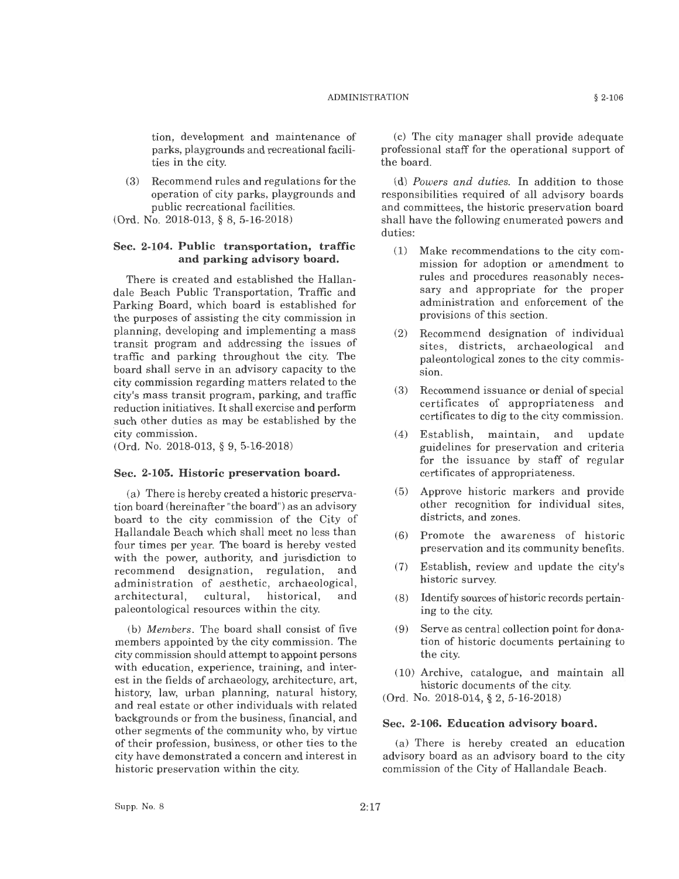tion, development and maintenance of parks, playgrounds and recreational facilities in the city.

(3) Recommend rules and regulations for the operation of city parks, playgrounds and public recreational facilities.

(Ord. No. 2018-013, § 8, 5-16-2018)

#### **Sec. 2-104. Public transportation, traffic and parking advisory board.**

There is created and established the Hallandale Beach Public Transportation, Traffic and Parking Board, which board is established for the purposes of assisting the city commission in planning, developing and implementing a mass transit program and addressing the issues of traffic and parking throughout the city. The board shall serve in an advisory capacity to the city commission regarding matters related to the city's mass transit program, parking, and traffic reduction initiatives. It shall exercise and perform such other duties as may be established by the city commission.

(Ord. No. 2018-013, § 9, 5-16-2018)

#### **Sec. 2-105. Historic preservation board.**

(a) There is hereby created a historic preservation board (hereinafter "the board") as an advisory board to the city commission of the City of Hallandale Beach which shall meet no less than four times per year. The board is hereby vested with the power, authority, and jurisdiction to recommend designation, regulation, and administration of aesthetic, archaeological, architectural, cultural, historical, and paleontological resources within the city.

(b) *Members.* The board shall consist of five members appointed by the city commission. The city commission should attempt to appoint persons with education, experience, training, and interest in the fields of archaeology, architecture, art, history, law, urban planning, natural history, and real estate or other individuals with related backgrounds or from the business, financial, and other segments of the community who, by virtue of their profession, business, or other ties to the city have demonstrated a concern and interest in historic preservation within the city.

'(c) The city manager shall provide adequate professional staff for the operational support of the board.

(d) *Powers and duties.* In addition to those responsibilities required of all advisory boards and committees, the historic preservation board shall have the following enumerated powers and duties:

- (1) Make recommendations to the city commission for adoption or amendment to rules and procedures reasonably necessary and appropriate for the proper administration and enforcement of the provisions of this section.
- (2) Recommend designation of individual sites, districts, archaeological and paleontological zones to the city commission.
- (3) Recommend issuance or denial of special certificates of appropriateness and certificates to dig to the city commission.
- (4) Establish, maintain, and update guidelines for preservation and criteria for the issuance by staff of regular certificates of appropriateness.
- (5) Approve historic markers and provide other recognition for individual sites, districts, and zones.
- (6) Promote the awareness of historic preservation and its community benefits.
- (7) Establish, review and update the city's historic survey.
- (8) Identify sources ofhistoric records pertaining to the city.
- (9) Serve as central collection point for donation of historic documents pertaining to the city.
- (10) Archive, catalogue, and maintain all historic documents of the city.
- (Ord. No. 2018-014, § 2, 5-16-2018)

#### **Sec. 2-106. Education advisory board.**

(a) There is hereby created an education advisory board as an advisory board to the city commission of the City of Hallandale Beach.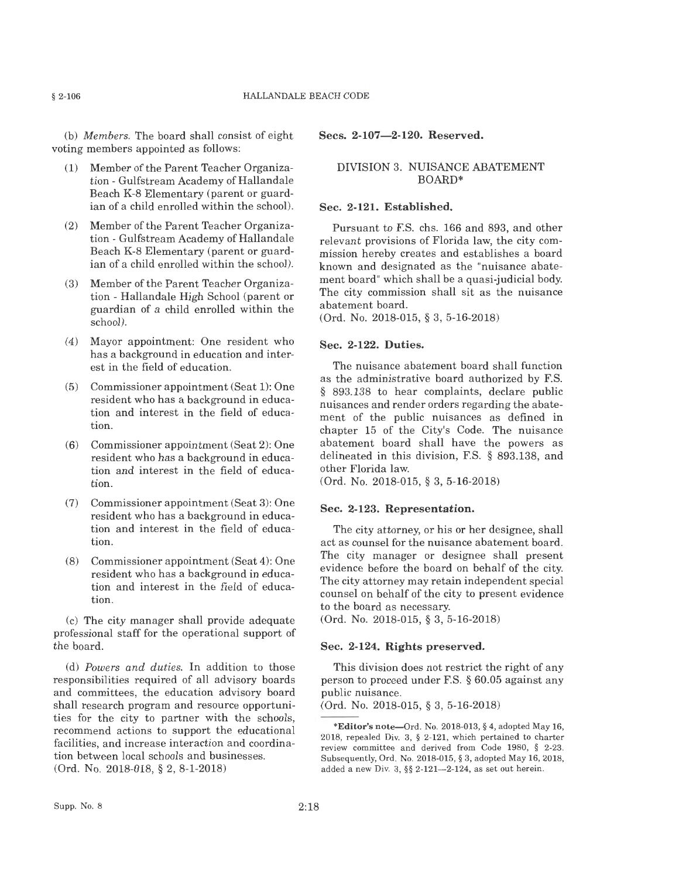(b) *Members.* The board shall consist of eight voting members appointed as follows:

- (1) Member of the Parent Teacher Organization - Gulfstream Academy of Hallandale Beach K-8 Elementary (parent or guardian of a child enrolled within the school).
- (2) Member of the Parent Teacher Organization - Gulfstream Academy of Hallandale Beach K-8 Elementary (parent or guardian of a child enrolled within the school).
- $(3)$  Member of the Parent Teacher Organization - Hallandale High School (parent or guardian of a child enrolled within the school).
- (4) Mayor appointment: One resident who has a background in education and interest in the field of education.
- (5) Commissioner appointment (Seat 1): One resident who has a background in education and interest in the field of education.
- (6) Commissioner appointment (Seat 2): One resident who has a background in education and interest in the field of education.
- (7) Commissioner appointment (Seat 3): One resident who has a background in education and interest in the field of education.
- (8) Commissioner appointment (Seat 4): One resident who has a background in education and interest in the field of education.

(c) The city manager shall provide adequate professional staff for the operational support of the board.

(d) *Powers and duties.* In addition to those responsibilities required of all advisory boards and committees, the education advisory board shall research program and resource opportunities for the city to partner with the schools, recommend actions to support the educational facilities, and increase interaction and coordination between local schools and businesses. (Ord. No. 2018-018, § 2, 8-1-2018)

#### **Secs. 2-107-2-120. Reserved.**

#### DIVISION 3. NUISANCE ABATEMENT BOARD\*

#### **Sec. 2-121. Established.**

Pursuant to F.S. chs. 166 and 893, and other relevant provisions of Florida law, the city commission hereby creates and establishes a board known and designated as the "nuisance abatement board" which shall be a quasi-judicial body. The city commission shall sit as the nuisance abatement board.

(Ord. No. 2018-015, § 3, 5-16-2018)

#### **Sec. 2-122. Duties.**

The nuisance abatement board shall function as the administrative board authorized by F.S. § 893.138 to hear complaints, declare public nuisances and render orders regarding the abatement of the public nuisances as defined in chapter 15 of the City's Code. The nuisance abatement board shall have the powers as delineated in this division, F.S. § 893.138, and other Florida law.

(Ord. No. 2018-015, § 3, 5-16-2018)

#### **Sec. 2-123. Representation.**

The city attorney, or his or her designee, shall act as counsel for the nuisance abatement board. The city manager or designee shall present evidence before the board on behalf of the city. The city attorney may retain independent special counsel on behalf of the city to present evidence to the board as necessary.

(Ord. No. 2018-015, § 3, 5-16-2018)

#### **Sec. 2-124. Rights preserved.**

This division does not restrict the right of any person to proceed under F.S. § 60.05 against any public nuisance.

(Ord. No. 2018-015, § 3, 5-16-2018)

**<sup>\*</sup>Editor's** note-Ord. No. 2018-013, § 4, adopted May 16, 2018, repealed Div. 3, § 2-121, which pertained to charter review committee and derived from Code 1980, § 2-23. Subsequently, Ord. No. 2018-015, § 3, adopted May 16, 2018, added a new Div. 3, §§ 2-121--2-124, as set out herein.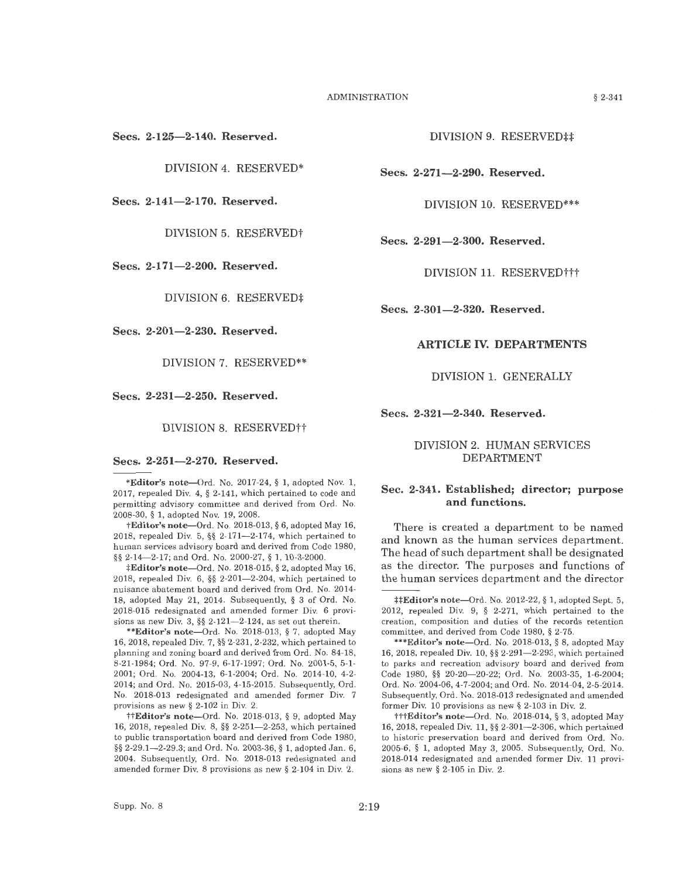**Secs. 2-125-2-140. Reserved.** 

DIVISION 4. RESERVED\*

**Secs. 2-141-2-170. Reserved.** 

DIVISION 5. RESERVEDt

**Secs. 2-171-2-200. Reserved.** 

DIVISION 6. RESERVED‡

**Se cs. 2-201-2-230. Re served.** 

DIVISION 7. RESERVED\*\*

**Se cs. 2-231-2-250. Reserved.** 

DIVISION 8. RESERVED††

#### Secs. 2-251-2-270. Reserved.

\*Editor's note-Ord. No. 2017-24, § 1, adopted Nov. 1, 2017, repealed Div. 4, § 2-141, which pertained to code and permitting advisory committee and derived from Ord. No. 2008-30, § 1, adopted Nov. 19, 2008.

**tEditor's note-Ord.** No. 2018-013, § 6, adopted May 16, 2018, repealed Div. 5, §§ 2-171-2-174, which pertained to human services advisory board and derived from Code 1980, §§ 2-14-2-17; and Ord. No. 2000-27, § 1, 10-3-2000.

:f:Editor's note-Ord. No. 2018-015, § 2, adopted May 16, 2018, repealed Div. 6, §§ 2-201-2-204, which pertained to nuisance abatement board and derived from Ord. No. 2014- 18, adopted May 21, 2014. Subsequently, § 3 of Ord. No. 2018-015 redesignated and amended former Div. 6 provisions as new Div. 3,  $\S\S 2-121-2-124$ , as set out therein.

**\*\*Editor's** note-Ord. No. 2018-013 , § 7, adopted May 16, 2018, repealed Div. 7, §§ 2-231, 2-232, which pertained to planning and zoning board and derived from Ord. No. 84-18, 8-21-1984; Ord. No. 97-9, 6-17-1997; Ord. No. 2001-5, 5-1- 2001; Ord. No. 2004-13, 6-1-2004; Ord. No. 2014-10, 4-2- 2014; and Ord. No. 2015-03, 4-15-2015. Subsequently, Ord. No. 2018-013 redesignated and amended former Div. 7 provisions as new§ 2-102 in Div. 2.

ttEditor's note-Ord. No. 2018-013, § 9, adopted May 16, 2018, repealed Div. 8, §§ 2-251-2-253, which pertained to public transportation board and derived from Code 1980, §§ 2-29.1-2-29.3; and Ord. No. 2003-36, § 1, adopted Jan. 6, 2004. Subsequently, Ord. No. 2018-013 redesignated and amended former Div. 8 provisions as new§ 2-104 in Div. 2.

DIVISION 9. RESERVED##

**Secs. 2-271-2-290. Reserved.** 

DIVISION 10. RESERVED\*\*\*

**Secs. 2-291-2-300. Reserved.** 

DIVISION 11. RESERVED†††

**Secs. 2-301-2-320. Reserved.** 

#### **ARTICLE** IV. **DEPARTMENTS**

DIVISION 1. GENERALLY

**Secs. 2-321-2-340. Reserved.** 

#### DIVISION 2. HUMAN SERVICES DEPARTMENT

#### Sec. 2-341. Established; director; purpose **and functions.**

There is created a department to be named and known as the human services department. The head of such department shall be designated as the director. The purposes and functions of the human services department and the director

\*\*\***Editor's note--Ord.** No. 2018-013, § 8, adopted May 16, 2018, repealed Div. 10,  $\S$  2-291-2-29<sup>2</sup>, which pertained to parks and recreation advisory board and derived from Code 1980, §§ 20-20-20-22; Ord. No. 2003-35, 1-6-2004; Ord. No. 2004-06, 4-7-2004; and Ord. No. 2014-04, 2-5-2014. Subsequently, Ord. No. 2018-013 redesignated and amended former Div. 10 provisions as new § 2-103 in Div. 2.

tttEditor's note-Ord. No. 2018-014, § 3, adopted May 16, 2018, repealed Div. 11, §§ 2-301-2-306, which pertained to historic preservation board and derived from Ord. No. 2005-6, § 1, adopted May 3, 2005. Subsequently, Ord. No. 2018-014 redesignated and amended former Div. 11 provisions as new § 2-105 in Div. 2.

<sup>:</sup>j::f:Ed itor's n ote-Ord. No. 2012-22, § 1, adopted Sept. 5, 2012, repealed Div. 9, § 2-271, which pertained to the creation, composition and duties of the records retention committee, and derived from Code 1980, § 2-75.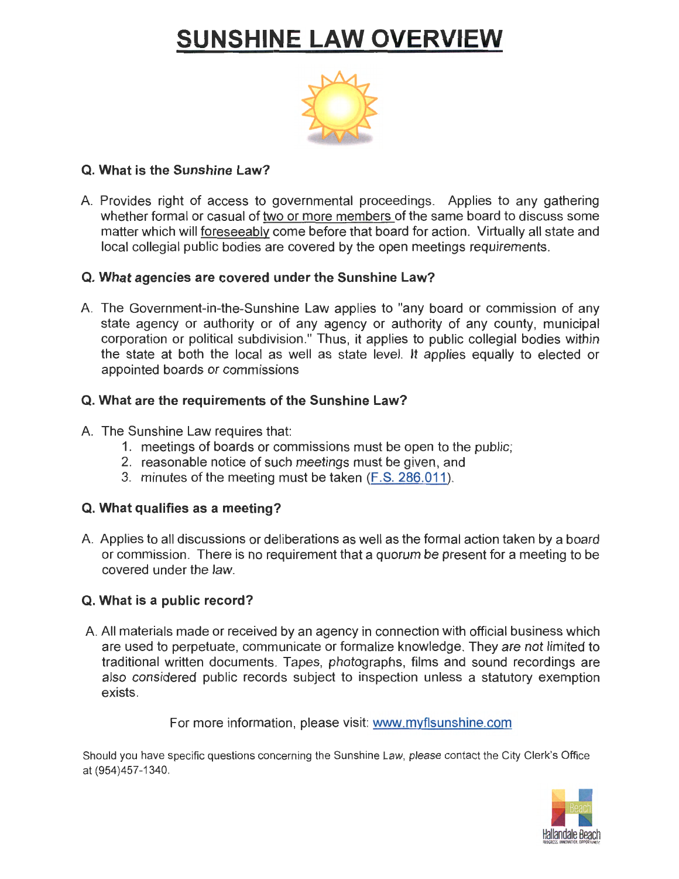# **SUNSHINE LAW OVERVIEW**



# **Q. What is the Sunshine Law?**

A. Provides right of access to governmental proceedings. Applies to any gathering whether formal or casual of two or more members of the same board to discuss some matter which will foreseeably come before that board for action. Virtually all state and local collegial public bodies are covered by the open meetings requirements.

# **Q. What agencies are covered under the Sunshine Law?**

A. The Government-in-the-Sunshine Law applies to "any board or commission of any state agency or authority or of any agency or authority of any county, municipal corporation or political subdivision." Thus, it applies to public collegial bodies within the state at both the local as well as state level. It applies equally to elected or appointed boards or commissions

# **Q. What are the requirements of the Sunshine Law?**

# A. The Sunshine Law requires that:

- 1. meetings of boards or commissions must be open to the public;
- 2. reasonable notice of such meetings must be given, and
- 3. minutes of the meeting must be taken (F.S. 286.011 ).

# **Q. What qualifies as a meeting?**

A. Applies to all discussions or deliberations as well as the formal action taken by a board or commission. There is no requirement that a quorum be present for a meeting to be covered under the law.

# **Q. What is a public record?**

A. All materials made or received by an agency in connection with official business which are used to perpetuate, communicate or formalize knowledge. They are not limited to traditional written documents. Tapes, photographs, films and sound recordings are also considered public records subject to inspection unless a statutory exemption exists.

# For more information, please visit: www.myflsunshine.com

Should you have specific questions concerning the Sunshine Law, please contact the City Clerk's Office at (954)457-1340.

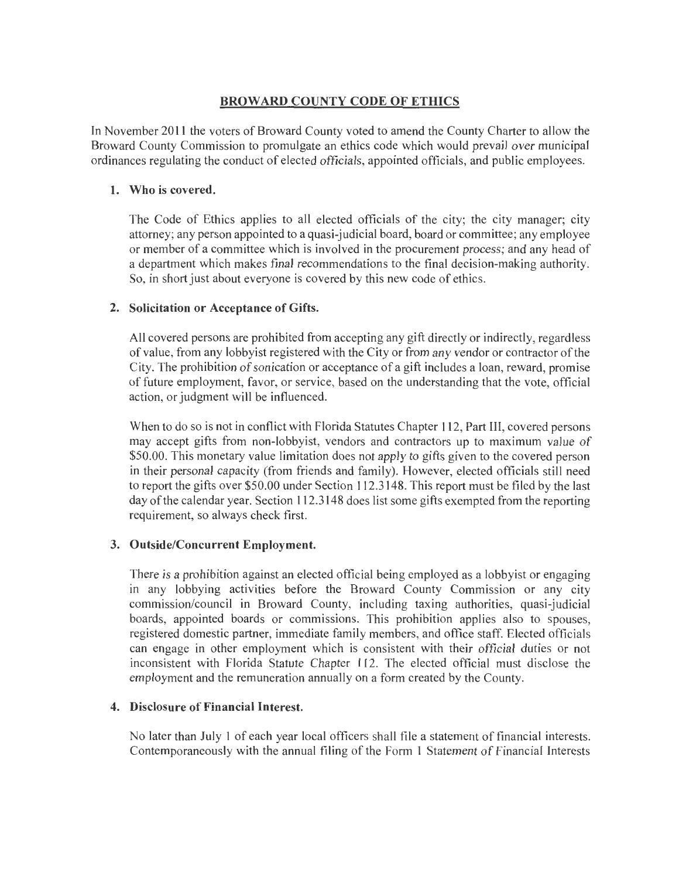# **BROW ARD COUNTY CODE OF ETHICS**

In November 2011 the voters of Broward County voted to amend the County Charter to allow the Broward County Commission to promulgate an ethics code which would prevail over municipal ordinances regulating the conduct of elected officials, appointed officials, and public employees.

# **1. Who is covered.**

The Code of Ethics applies to all elected officials of the city; the city manager; city attorney; any person appointed to a quasi-judicial board, board or committee; any employee or member of a committee which is involved in the procurement process; and any head of a department which makes final recommendations to the final decision-making authority. So, in short just about everyone is covered by this new code of ethics.

# **2. Solicitation or Acceptance of Gifts.**

All covered persons are prohibited from accepting any gift directly or indirectly, regardless of value, from any lobbyist registered with the City or from any vendor or contractor of the City. The prohibition of sonication or acceptance of a gift includes a loan, reward, promise of future employment, favor, or service, based on the understanding that the vote, official action, or judgment will be influenced.

When to do so is not in conflict with Florida Statutes Chapter 112, Part III, covered persons may accept gifts from non-lobbyist, vendors and contractors up to maximum value of \$50.00. This monetary value limitation does not apply to gifts given to the covered person in their personal capacity (from friends and family). However, elected officials still need to report the gifts over \$50.00 under Section 112.3148. This report must be filed by the last day of the calendar year. Section 112.3148 does list some gifts exempted from the reporting requirement, so always check first.

# **3. Outside/Concurrent Employment.**

There is a prohibition against an elected official being employed as a lobbyist or engaging in any lobbying activities before the Broward County Commission or any city commission/council in Broward County, including taxing authorities, quasi-judicial boards, appointed boards or commissions. This prohibition applies also to spouses, registered domestic partner, immediate family members, and office staff. Elected officials can engage in other employment which is consistent with their official duties or not inconsistent with Florida Statute Chapter 112. The elected official must disclose the employment and the remuneration annually on a form created by the County.

# **4. Disclosure of Financial Interest.**

No later than July 1 of each year local officers shall file a statement of financial interests. Contemporaneously with the annual filing of the Form 1 Statement of Financial Interests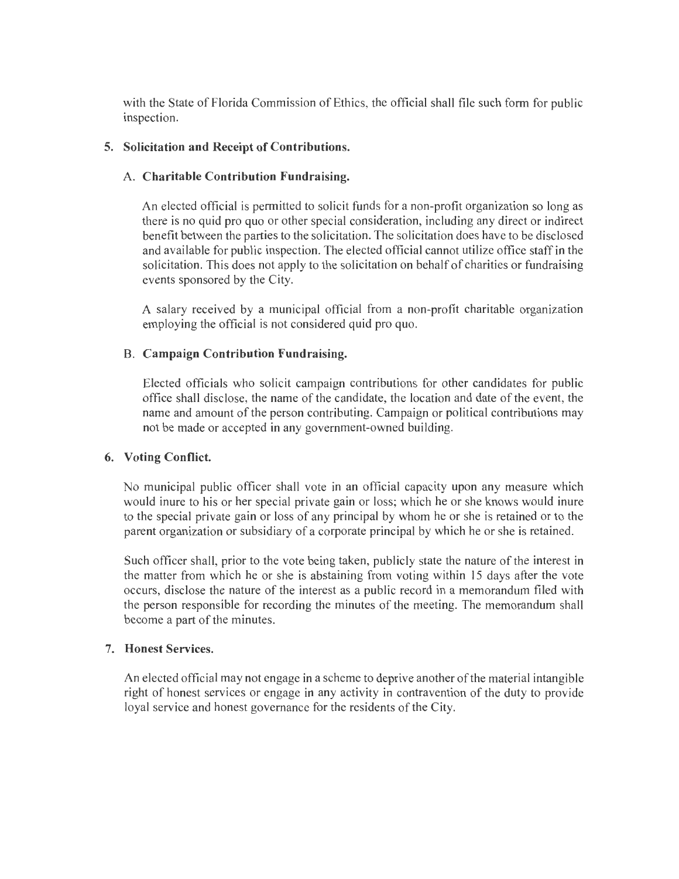with the State of Florida Commission of Ethics, the official shall file such form for public inspection.

### **5. Solicitation and Receipt of Contributions.**

### A. **Charitable Contribution Fundraising.**

An elected official is permitted to solicit funds for a non-profit organization so long as there is no quid pro quo or other special consideration, including any direct or indirect benefit between the parties to the solicitation. The solicitation does have to be disclosed and available for public inspection. The elected official cannot utilize office staff in the solicitation. This does not apply to the solicitation on behalf of charities or fundraising events sponsored by the City.

A salary received by a municipal official from a non-profit charitable organization employing the official is not considered quid pro quo.

### B. **Campaign Contribution Fundraising.**

Elected officials who solicit campaign contributions for other candidates for public office shall disclose, the name of the candidate, the location and date of the event, the name and amount of the person contributing. Campaign or political contributions may not be made or accepted in any government-owned building.

### **6. Voting Conflict.**

No municipal public officer shall vote in an official capacity upon any measure which would inure to his or her special private gain or loss; which he or she knows would inure to the special private gain or loss of any principal by whom he or she is retained or to the parent organization or subsidiary of a corporate principal by which he or she is retained.

Such officer shall, prior to the vote being taken, publicly state the nature of the interest in the matter from which he or she is abstaining from voting within 15 days after the vote occurs, disclose the nature of the interest as a public record in a memorandum fi led with the person responsible for recording the minutes of the meeting. The memorandum shall become a part of the minutes.

# 7. **Honest Services.**

An elected official may not engage in a scheme to deprive another of the material intangible right of honest services or engage in any activity in contravention of the duty to provide loyal service and honest governance for the residents of the City.